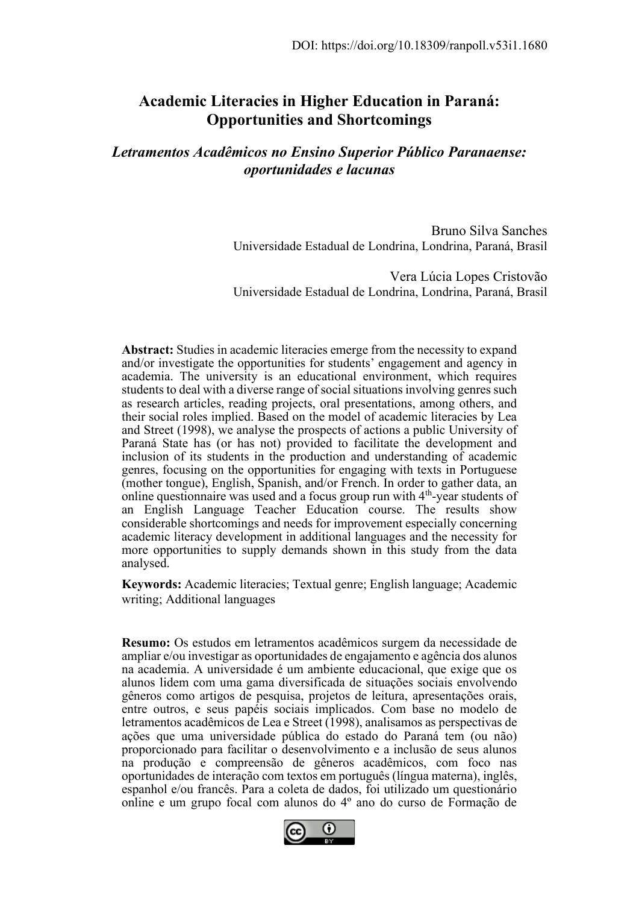# **Academic Literacies in Higher Education in Paraná: Opportunities and Shortcomings**

*Letramentos Acadêmicos no Ensino Superior Público Paranaense: oportunidades e lacunas*

> Bruno Silva Sanches Universidade Estadual de Londrina, Londrina, Paraná, Brasil

> Vera Lúcia Lopes Cristovão Universidade Estadual de Londrina, Londrina, Paraná, Brasil

**Abstract:** Studies in academic literacies emerge from the necessity to expand and/or investigate the opportunities for students' engagement and agency in academia. The university is an educational environment, which requires students to deal with a diverse range of social situations involving genres such as research articles, reading projects, oral presentations, among others, and their social roles implied. Based on the model of academic literacies by Lea and Street (1998), we analyse the prospects of actions a public University of Paraná State has (or has not) provided to facilitate the development and inclusion of its students in the production and understanding of academic genres, focusing on the opportunities for engaging with texts in Portuguese (mother tongue), English, Spanish, and/or French. In order to gather data, an online questionnaire was used and a focus group run with 4<sup>th</sup>-year students of an English Language Teacher Education course. The results show considerable shortcomings and needs for improvement especially concerning academic literacy development in additional languages and the necessity for more opportunities to supply demands shown in this study from the data analysed.

**Keywords:** Academic literacies; Textual genre; English language; Academic writing; Additional languages

**Resumo:** Os estudos em letramentos acadêmicos surgem da necessidade de ampliar e/ou investigar as oportunidades de engajamento e agência dos alunos na academia. A universidade é um ambiente educacional, que exige que os alunos lidem com uma gama diversificada de situações sociais envolvendo gêneros como artigos de pesquisa, projetos de leitura, apresentações orais, entre outros, e seus papéis sociais implicados. Com base no modelo de letramentos acadêmicos de Lea e Street (1998), analisamos as perspectivas de ações que uma universidade pública do estado do Paraná tem (ou não) proporcionado para facilitar o desenvolvimento e a inclusão de seus alunos na produção e compreensão de gêneros acadêmicos, com foco nas oportunidades de interação com textos em português (língua materna), inglês, espanhol e/ou francês. Para a coleta de dados, foi utilizado um questionário online e um grupo focal com alunos do 4º ano do curso de Formação de

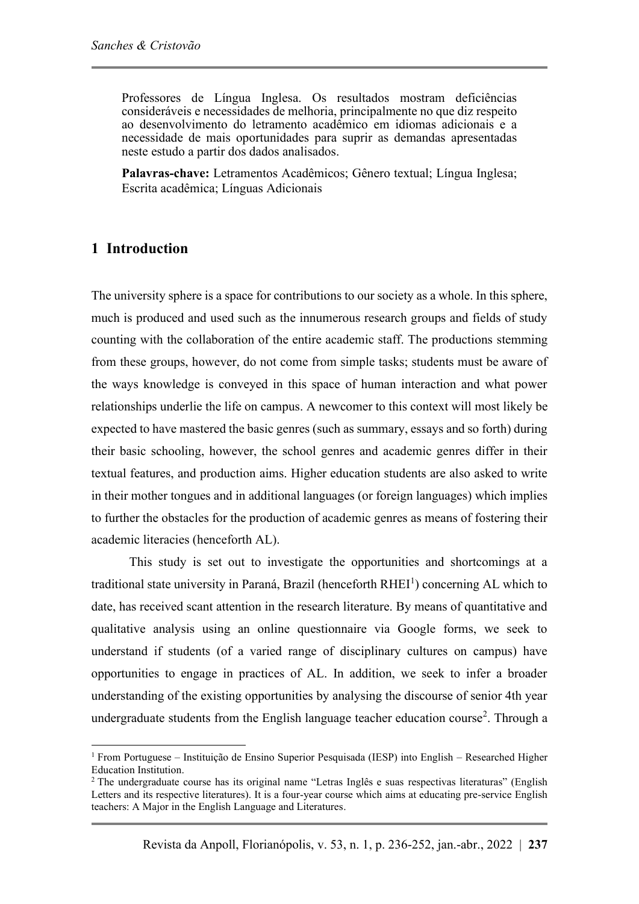Professores de Língua Inglesa. Os resultados mostram deficiências consideráveis e necessidades de melhoria, principalmente no que diz respeito ao desenvolvimento do letramento acadêmico em idiomas adicionais e a necessidade de mais oportunidades para suprir as demandas apresentadas neste estudo a partir dos dados analisados.

**Palavras-chave:** Letramentos Acadêmicos; Gênero textual; Língua Inglesa; Escrita acadêmica; Línguas Adicionais

#### **1 Introduction**

The university sphere is a space for contributions to our society as a whole. In this sphere, much is produced and used such as the innumerous research groups and fields of study counting with the collaboration of the entire academic staff. The productions stemming from these groups, however, do not come from simple tasks; students must be aware of the ways knowledge is conveyed in this space of human interaction and what power relationships underlie the life on campus. A newcomer to this context will most likely be expected to have mastered the basic genres (such as summary, essays and so forth) during their basic schooling, however, the school genres and academic genres differ in their textual features, and production aims. Higher education students are also asked to write in their mother tongues and in additional languages (or foreign languages) which implies to further the obstacles for the production of academic genres as means of fostering their academic literacies (henceforth AL).

This study is set out to investigate the opportunities and shortcomings at a traditional state university in Paraná, Brazil (henceforth  $RHEI<sup>1</sup>$ ) concerning AL which to date, has received scant attention in the research literature. By means of quantitative and qualitative analysis using an online questionnaire via Google forms, we seek to understand if students (of a varied range of disciplinary cultures on campus) have opportunities to engage in practices of AL. In addition, we seek to infer a broader understanding of the existing opportunities by analysing the discourse of senior 4th year undergraduate students from the English language teacher education course<sup>2</sup>. Through a

<sup>1</sup> From Portuguese – Instituição de Ensino Superior Pesquisada (IESP) into English – Researched Higher Education Institution.

<sup>2</sup> The undergraduate course has its original name "Letras Inglês e suas respectivas literaturas" (English Letters and its respective literatures). It is a four-year course which aims at educating pre-service English teachers: A Major in the English Language and Literatures.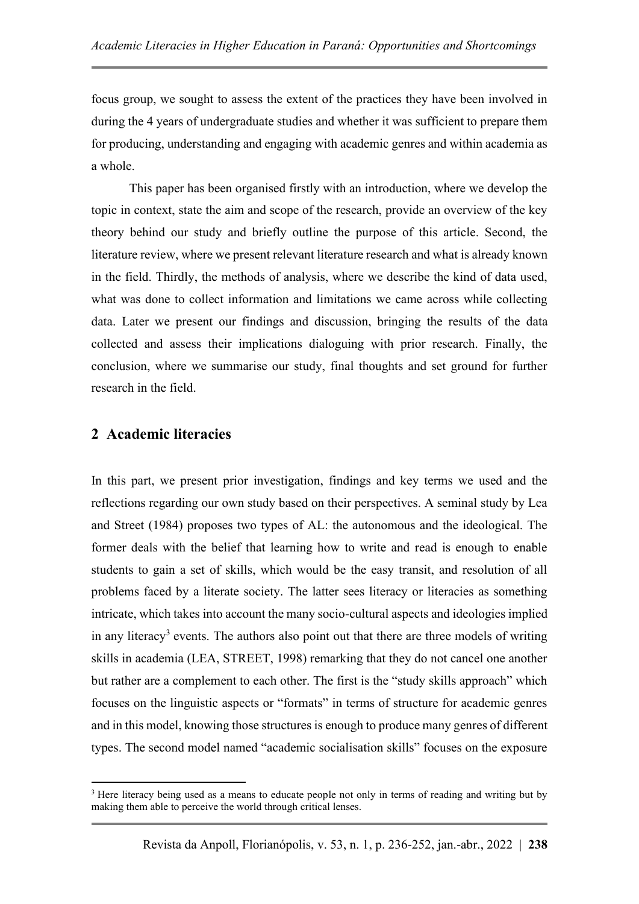focus group, we sought to assess the extent of the practices they have been involved in during the 4 years of undergraduate studies and whether it was sufficient to prepare them for producing, understanding and engaging with academic genres and within academia as a whole.

This paper has been organised firstly with an introduction, where we develop the topic in context, state the aim and scope of the research, provide an overview of the key theory behind our study and briefly outline the purpose of this article. Second, the literature review, where we present relevant literature research and what is already known in the field. Thirdly, the methods of analysis, where we describe the kind of data used, what was done to collect information and limitations we came across while collecting data. Later we present our findings and discussion, bringing the results of the data collected and assess their implications dialoguing with prior research. Finally, the conclusion, where we summarise our study, final thoughts and set ground for further research in the field.

## **2 Academic literacies**

In this part, we present prior investigation, findings and key terms we used and the reflections regarding our own study based on their perspectives. A seminal study by Lea and Street (1984) proposes two types of AL: the autonomous and the ideological. The former deals with the belief that learning how to write and read is enough to enable students to gain a set of skills, which would be the easy transit, and resolution of all problems faced by a literate society. The latter sees literacy or literacies as something intricate, which takes into account the many socio-cultural aspects and ideologies implied in any literacy<sup>3</sup> events. The authors also point out that there are three models of writing skills in academia (LEA, STREET, 1998) remarking that they do not cancel one another but rather are a complement to each other. The first is the "study skills approach" which focuses on the linguistic aspects or "formats" in terms of structure for academic genres and in this model, knowing those structures is enough to produce many genres of different types. The second model named "academic socialisation skills" focuses on the exposure

<sup>&</sup>lt;sup>3</sup> Here literacy being used as a means to educate people not only in terms of reading and writing but by making them able to perceive the world through critical lenses.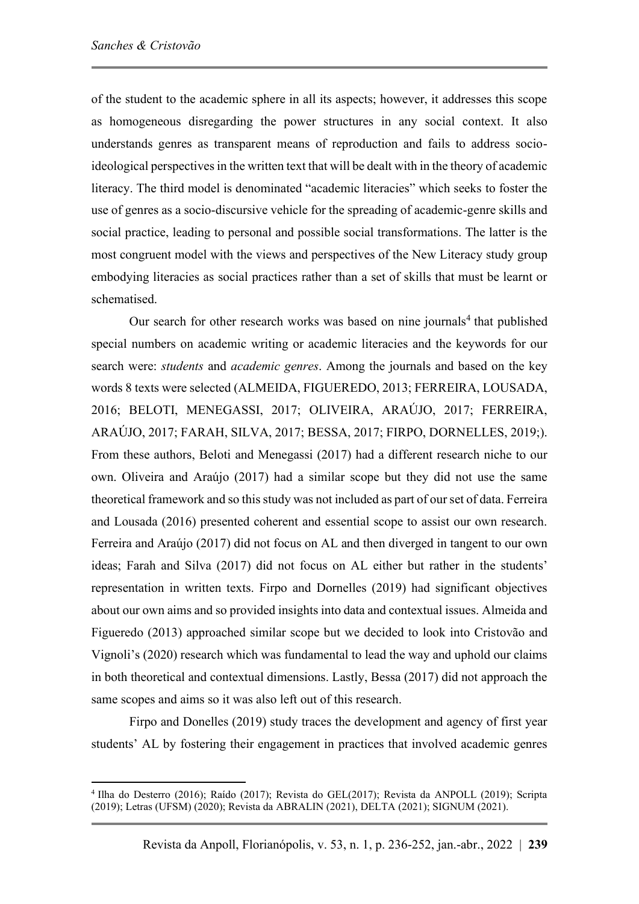of the student to the academic sphere in all its aspects; however, it addresses this scope as homogeneous disregarding the power structures in any social context. It also understands genres as transparent means of reproduction and fails to address socioideological perspectives in the written text that will be dealt with in the theory of academic literacy. The third model is denominated "academic literacies" which seeks to foster the use of genres as a socio-discursive vehicle for the spreading of academic-genre skills and social practice, leading to personal and possible social transformations. The latter is the most congruent model with the views and perspectives of the New Literacy study group embodying literacies as social practices rather than a set of skills that must be learnt or schematised.

Our search for other research works was based on nine journals<sup>4</sup> that published special numbers on academic writing or academic literacies and the keywords for our search were: *students* and *academic genres*. Among the journals and based on the key words 8 texts were selected (ALMEIDA, FIGUEREDO, 2013; FERREIRA, LOUSADA, 2016; BELOTI, MENEGASSI, 2017; OLIVEIRA, ARAÚJO, 2017; FERREIRA, ARAÚJO, 2017; FARAH, SILVA, 2017; BESSA, 2017; FIRPO, DORNELLES, 2019;). From these authors, Beloti and Menegassi (2017) had a different research niche to our own. Oliveira and Araújo (2017) had a similar scope but they did not use the same theoretical framework and so this study was not included as part of our set of data. Ferreira and Lousada (2016) presented coherent and essential scope to assist our own research. Ferreira and Araújo (2017) did not focus on AL and then diverged in tangent to our own ideas; Farah and Silva (2017) did not focus on AL either but rather in the students' representation in written texts. Firpo and Dornelles (2019) had significant objectives about our own aims and so provided insights into data and contextual issues. Almeida and Figueredo (2013) approached similar scope but we decided to look into Cristovão and Vignoli's (2020) research which was fundamental to lead the way and uphold our claims in both theoretical and contextual dimensions. Lastly, Bessa (2017) did not approach the same scopes and aims so it was also left out of this research.

Firpo and Donelles (2019) study traces the development and agency of first year students' AL by fostering their engagement in practices that involved academic genres

<sup>4</sup> Ilha do Desterro (2016); Raído (2017); Revista do GEL(2017); Revista da ANPOLL (2019); Scripta (2019); Letras (UFSM) (2020); Revista da ABRALIN (2021), DELTA (2021); SIGNUM (2021).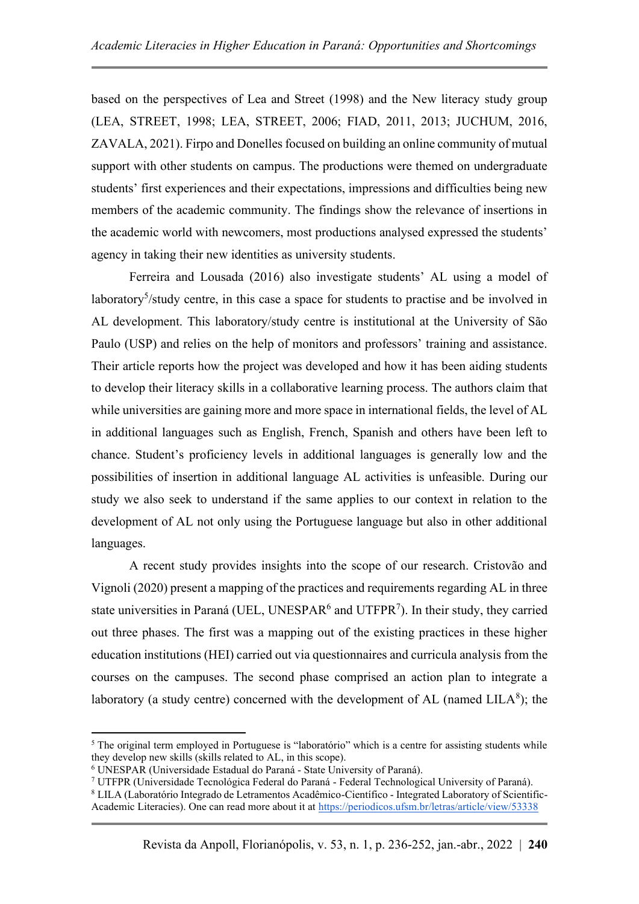based on the perspectives of Lea and Street (1998) and the New literacy study group (LEA, STREET, 1998; LEA, STREET, 2006; FIAD, 2011, 2013; JUCHUM, 2016, ZAVALA, 2021). Firpo and Donelles focused on building an online community of mutual support with other students on campus. The productions were themed on undergraduate students' first experiences and their expectations, impressions and difficulties being new members of the academic community. The findings show the relevance of insertions in the academic world with newcomers, most productions analysed expressed the students' agency in taking their new identities as university students.

Ferreira and Lousada (2016) also investigate students' AL using a model of laboratory<sup>5</sup>/study centre, in this case a space for students to practise and be involved in AL development. This laboratory/study centre is institutional at the University of São Paulo (USP) and relies on the help of monitors and professors' training and assistance. Their article reports how the project was developed and how it has been aiding students to develop their literacy skills in a collaborative learning process. The authors claim that while universities are gaining more and more space in international fields, the level of AL in additional languages such as English, French, Spanish and others have been left to chance. Student's proficiency levels in additional languages is generally low and the possibilities of insertion in additional language AL activities is unfeasible. During our study we also seek to understand if the same applies to our context in relation to the development of AL not only using the Portuguese language but also in other additional languages.

A recent study provides insights into the scope of our research. Cristovão and Vignoli (2020) present a mapping of the practices and requirements regarding AL in three state universities in Paraná (UEL, UNESPAR $<sup>6</sup>$  and UTFPR<sup>7</sup>). In their study, they carried</sup> out three phases. The first was a mapping out of the existing practices in these higher education institutions (HEI) carried out via questionnaires and curricula analysis from the courses on the campuses. The second phase comprised an action plan to integrate a laboratory (a study centre) concerned with the development of AL (named  $LILA<sup>8</sup>$ ); the

<sup>&</sup>lt;sup>5</sup> The original term employed in Portuguese is "laboratório" which is a centre for assisting students while they develop new skills (skills related to AL, in this scope).

<sup>6</sup> UNESPAR (Universidade Estadual do Paraná - State University of Paraná).

<sup>7</sup> UTFPR (Universidade Tecnológica Federal do Paraná - Federal Technological University of Paraná).

<sup>8</sup> LILA (Laboratório Integrado de Letramentos Acadêmico-Científico - Integrated Laboratory of Scientific-Academic Literacies). One can read more about it a[t https://periodicos.ufsm.br/letras/article/view/53338](https://periodicos.ufsm.br/letras/article/view/53338)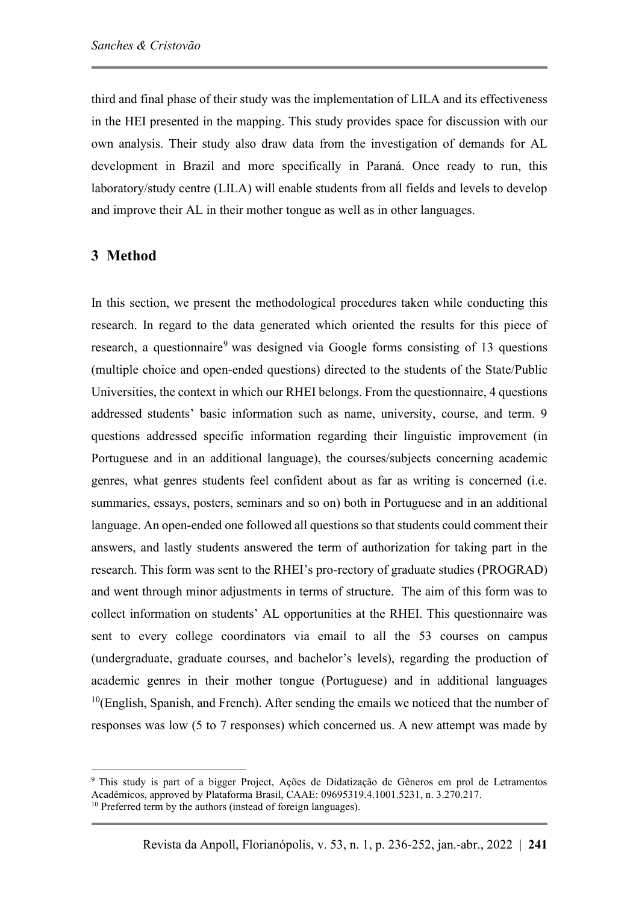third and final phase of their study was the implementation of LILA and its effectiveness in the HEI presented in the mapping. This study provides space for discussion with our own analysis. Their study also draw data from the investigation of demands for AL development in Brazil and more specifically in Paraná. Once ready to run, this laboratory/study centre (LILA) will enable students from all fields and levels to develop and improve their AL in their mother tongue as well as in other languages.

#### **3 Method**

In this section, we present the methodological procedures taken while conducting this research. In regard to the data generated which oriented the results for this piece of research, a questionnaire<sup>9</sup> was designed via Google forms consisting of 13 questions (multiple choice and open-ended questions) directed to the students of the State/Public Universities, the context in which our RHEI belongs. From the questionnaire, 4 questions addressed students' basic information such as name, university, course, and term. 9 questions addressed specific information regarding their linguistic improvement (in Portuguese and in an additional language), the courses/subjects concerning academic genres, what genres students feel confident about as far as writing is concerned (i.e. summaries, essays, posters, seminars and so on) both in Portuguese and in an additional language. An open-ended one followed all questions so that students could comment their answers, and lastly students answered the term of authorization for taking part in the research. This form was sent to the RHEI's pro-rectory of graduate studies (PROGRAD) and went through minor adjustments in terms of structure. The aim of this form was to collect information on students' AL opportunities at the RHEI. This questionnaire was sent to every college coordinators via email to all the 53 courses on campus (undergraduate, graduate courses, and bachelor's levels), regarding the production of academic genres in their mother tongue (Portuguese) and in additional languages  $10$ (English, Spanish, and French). After sending the emails we noticed that the number of responses was low (5 to 7 responses) which concerned us. A new attempt was made by

<sup>9</sup> This study is part of a bigger Project, Ações de Didatização de Gêneros em prol de Letramentos Acadêmicos, approved by Plataforma Brasil, CAAE: 09695319.4.1001.5231, n. 3.270.217. <sup>10</sup> Preferred term by the authors (instead of foreign languages).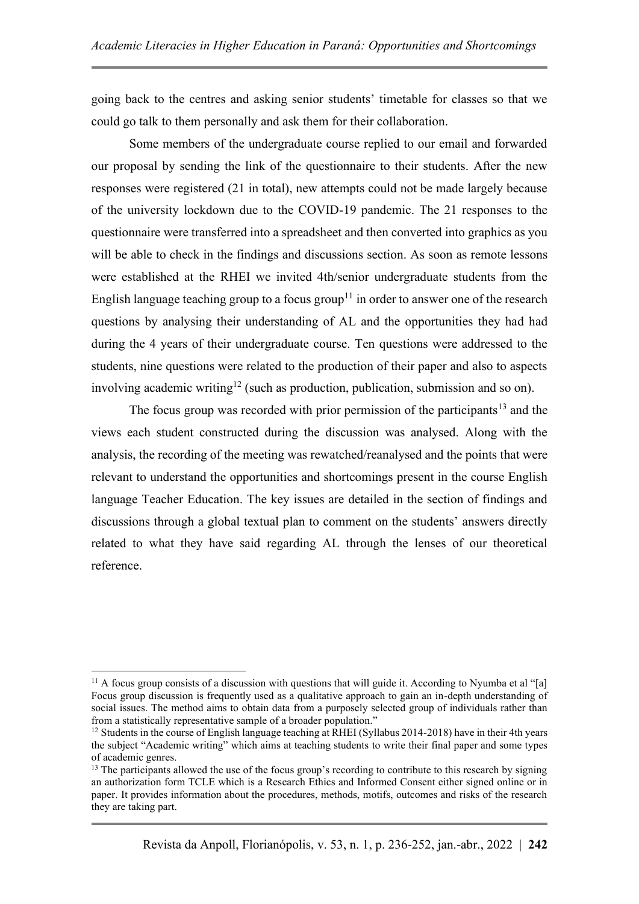going back to the centres and asking senior students' timetable for classes so that we could go talk to them personally and ask them for their collaboration.

Some members of the undergraduate course replied to our email and forwarded our proposal by sending the link of the questionnaire to their students. After the new responses were registered (21 in total), new attempts could not be made largely because of the university lockdown due to the COVID-19 pandemic. The 21 responses to the questionnaire were transferred into a spreadsheet and then converted into graphics as you will be able to check in the findings and discussions section. As soon as remote lessons were established at the RHEI we invited 4th/senior undergraduate students from the English language teaching group to a focus group<sup>11</sup> in order to answer one of the research questions by analysing their understanding of AL and the opportunities they had had during the 4 years of their undergraduate course. Ten questions were addressed to the students, nine questions were related to the production of their paper and also to aspects involving academic writing<sup>12</sup> (such as production, publication, submission and so on).

The focus group was recorded with prior permission of the participants<sup>13</sup> and the views each student constructed during the discussion was analysed. Along with the analysis, the recording of the meeting was rewatched/reanalysed and the points that were relevant to understand the opportunities and shortcomings present in the course English language Teacher Education. The key issues are detailed in the section of findings and discussions through a global textual plan to comment on the students' answers directly related to what they have said regarding AL through the lenses of our theoretical reference.

<sup>&</sup>lt;sup>11</sup> A focus group consists of a discussion with questions that will guide it. According to Nyumba et al "[a] Focus group discussion is frequently used as a qualitative approach to gain an in-depth understanding of social issues. The method aims to obtain data from a purposely selected group of individuals rather than from a statistically representative sample of a broader population."

<sup>&</sup>lt;sup>12</sup> Students in the course of English language teaching at RHEI (Syllabus 2014-2018) have in their 4th years the subject "Academic writing" which aims at teaching students to write their final paper and some types of academic genres.

<sup>&</sup>lt;sup>13</sup> The participants allowed the use of the focus group's recording to contribute to this research by signing an authorization form TCLE which is a Research Ethics and Informed Consent either signed online or in paper. It provides information about the procedures, methods, motifs, outcomes and risks of the research they are taking part.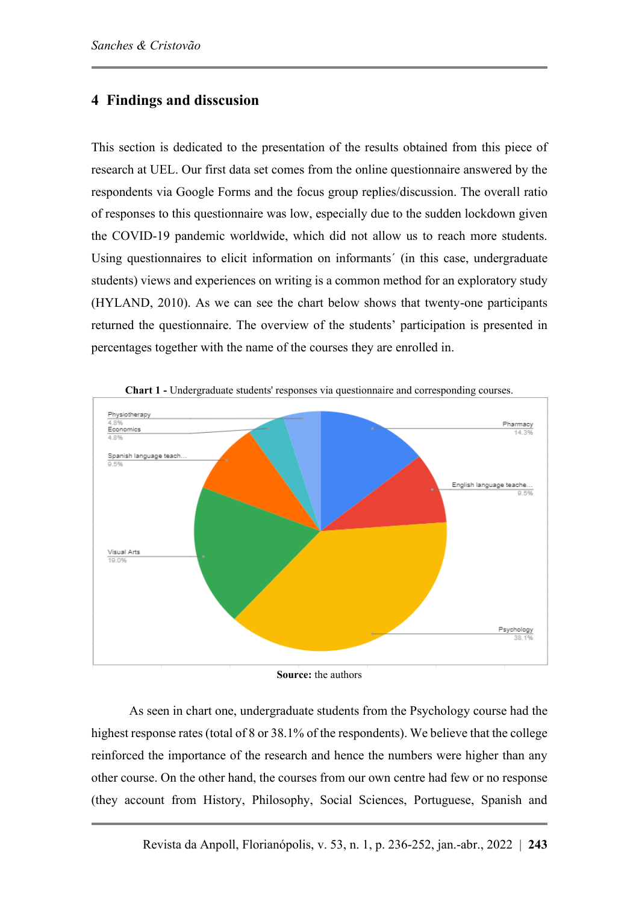## **4 Findings and disscusion**

This section is dedicated to the presentation of the results obtained from this piece of research at UEL. Our first data set comes from the online questionnaire answered by the respondents via Google Forms and the focus group replies/discussion. The overall ratio of responses to this questionnaire was low, especially due to the sudden lockdown given the COVID-19 pandemic worldwide, which did not allow us to reach more students. Using questionnaires to elicit information on informants' (in this case, undergraduate students) views and experiences on writing is a common method for an exploratory study (HYLAND, 2010). As we can see the chart below shows that twenty-one participants returned the questionnaire. The overview of the students' participation is presented in percentages together with the name of the courses they are enrolled in.



**Chart 1 -** Undergraduate students' responses via questionnaire and corresponding courses.

**Source:** the authors

As seen in chart one, undergraduate students from the Psychology course had the highest response rates (total of 8 or 38.1% of the respondents). We believe that the college reinforced the importance of the research and hence the numbers were higher than any other course. On the other hand, the courses from our own centre had few or no response (they account from History, Philosophy, Social Sciences, Portuguese, Spanish and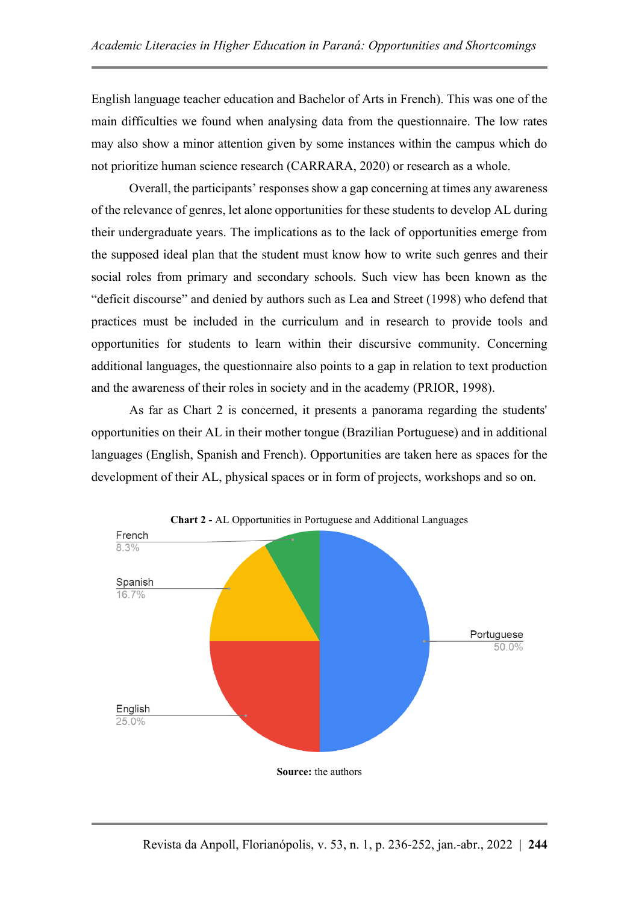English language teacher education and Bachelor of Arts in French). This was one of the main difficulties we found when analysing data from the questionnaire. The low rates may also show a minor attention given by some instances within the campus which do not prioritize human science research (CARRARA, 2020) or research as a whole.

Overall, the participants' responses show a gap concerning at times any awareness of the relevance of genres, let alone opportunities for these students to develop AL during their undergraduate years. The implications as to the lack of opportunities emerge from the supposed ideal plan that the student must know how to write such genres and their social roles from primary and secondary schools. Such view has been known as the "deficit discourse" and denied by authors such as Lea and Street (1998) who defend that practices must be included in the curriculum and in research to provide tools and opportunities for students to learn within their discursive community. Concerning additional languages, the questionnaire also points to a gap in relation to text production and the awareness of their roles in society and in the academy (PRIOR, 1998).

As far as Chart 2 is concerned, it presents a panorama regarding the students' opportunities on their AL in their mother tongue (Brazilian Portuguese) and in additional languages (English, Spanish and French). Opportunities are taken here as spaces for the development of their AL, physical spaces or in form of projects, workshops and so on.



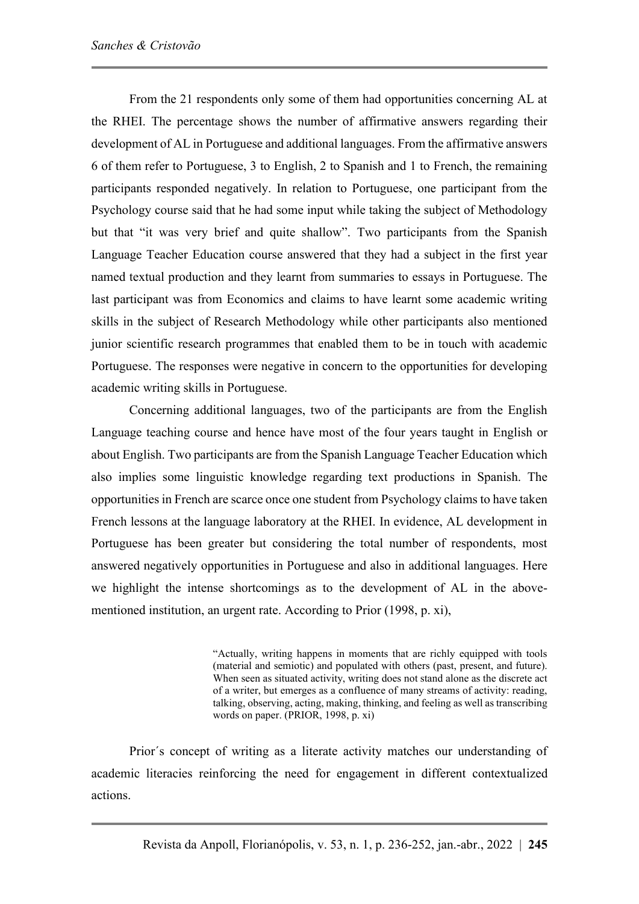From the 21 respondents only some of them had opportunities concerning AL at the RHEI. The percentage shows the number of affirmative answers regarding their development of AL in Portuguese and additional languages. From the affirmative answers 6 of them refer to Portuguese, 3 to English, 2 to Spanish and 1 to French, the remaining participants responded negatively. In relation to Portuguese, one participant from the Psychology course said that he had some input while taking the subject of Methodology but that "it was very brief and quite shallow". Two participants from the Spanish Language Teacher Education course answered that they had a subject in the first year named textual production and they learnt from summaries to essays in Portuguese. The last participant was from Economics and claims to have learnt some academic writing skills in the subject of Research Methodology while other participants also mentioned junior scientific research programmes that enabled them to be in touch with academic Portuguese. The responses were negative in concern to the opportunities for developing academic writing skills in Portuguese.

Concerning additional languages, two of the participants are from the English Language teaching course and hence have most of the four years taught in English or about English. Two participants are from the Spanish Language Teacher Education which also implies some linguistic knowledge regarding text productions in Spanish. The opportunities in French are scarce once one student from Psychology claims to have taken French lessons at the language laboratory at the RHEI. In evidence, AL development in Portuguese has been greater but considering the total number of respondents, most answered negatively opportunities in Portuguese and also in additional languages. Here we highlight the intense shortcomings as to the development of AL in the abovementioned institution, an urgent rate. According to Prior (1998, p. xi),

> "Actually, writing happens in moments that are richly equipped with tools (material and semiotic) and populated with others (past, present, and future). When seen as situated activity, writing does not stand alone as the discrete act of a writer, but emerges as a confluence of many streams of activity: reading, talking, observing, acting, making, thinking, and feeling as well as transcribing words on paper. (PRIOR, 1998, p. xi)

Prior´s concept of writing as a literate activity matches our understanding of academic literacies reinforcing the need for engagement in different contextualized actions.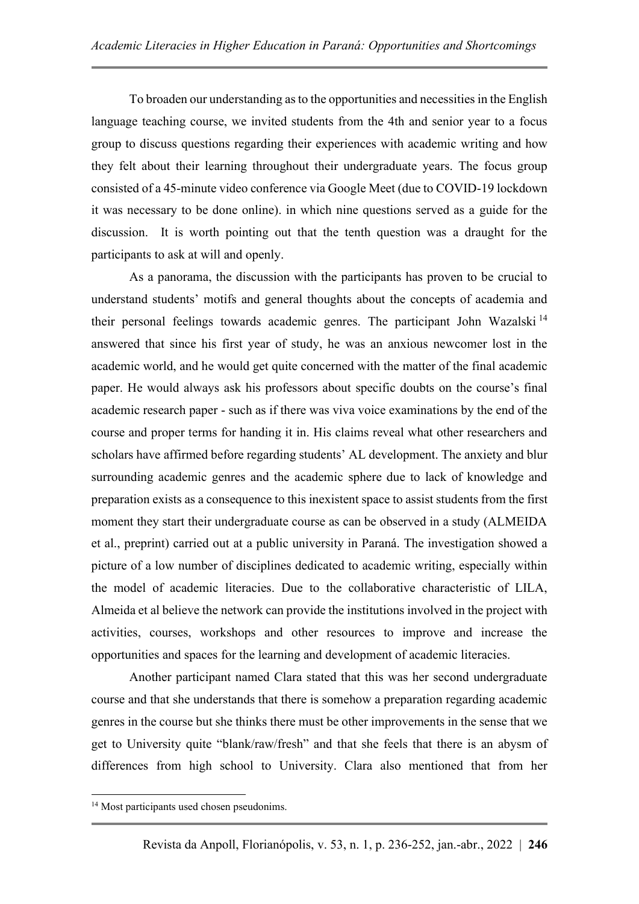To broaden our understanding as to the opportunities and necessities in the English language teaching course, we invited students from the 4th and senior year to a focus group to discuss questions regarding their experiences with academic writing and how they felt about their learning throughout their undergraduate years. The focus group consisted of a 45-minute video conference via Google Meet (due to COVID-19 lockdown it was necessary to be done online). in which nine questions served as a guide for the discussion. It is worth pointing out that the tenth question was a draught for the participants to ask at will and openly.

As a panorama, the discussion with the participants has proven to be crucial to understand students' motifs and general thoughts about the concepts of academia and their personal feelings towards academic genres. The participant John Wazalski <sup>14</sup> answered that since his first year of study, he was an anxious newcomer lost in the academic world, and he would get quite concerned with the matter of the final academic paper. He would always ask his professors about specific doubts on the course's final academic research paper - such as if there was viva voice examinations by the end of the course and proper terms for handing it in. His claims reveal what other researchers and scholars have affirmed before regarding students' AL development. The anxiety and blur surrounding academic genres and the academic sphere due to lack of knowledge and preparation exists as a consequence to this inexistent space to assist students from the first moment they start their undergraduate course as can be observed in a study (ALMEIDA et al., preprint) carried out at a public university in Paraná. The investigation showed a picture of a low number of disciplines dedicated to academic writing, especially within the model of academic literacies. Due to the collaborative characteristic of LILA, Almeida et al believe the network can provide the institutions involved in the project with activities, courses, workshops and other resources to improve and increase the opportunities and spaces for the learning and development of academic literacies.

Another participant named Clara stated that this was her second undergraduate course and that she understands that there is somehow a preparation regarding academic genres in the course but she thinks there must be other improvements in the sense that we get to University quite "blank/raw/fresh" and that she feels that there is an abysm of differences from high school to University. Clara also mentioned that from her

<sup>&</sup>lt;sup>14</sup> Most participants used chosen pseudonims.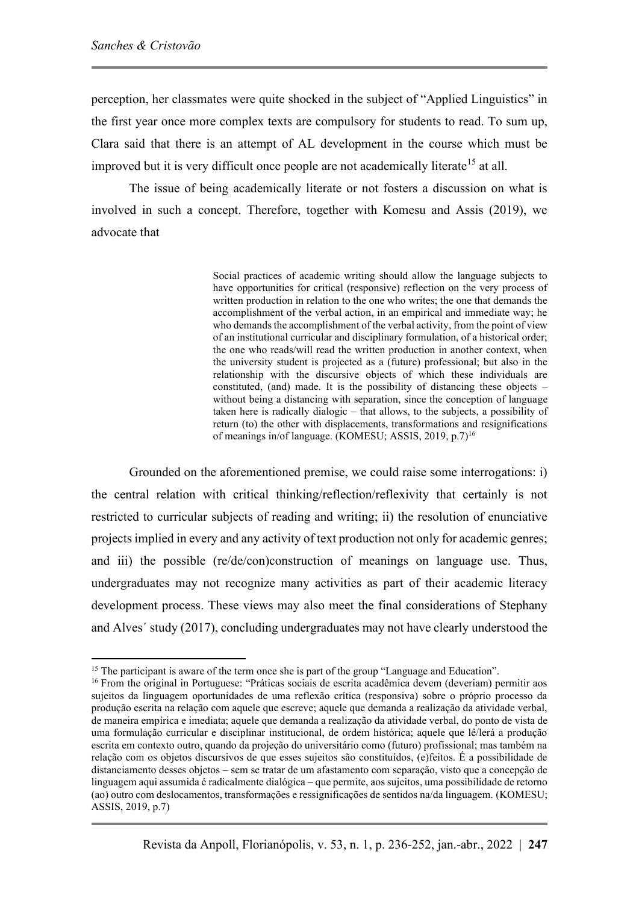perception, her classmates were quite shocked in the subject of "Applied Linguistics" in the first year once more complex texts are compulsory for students to read. To sum up, Clara said that there is an attempt of AL development in the course which must be improved but it is very difficult once people are not academically literate<sup>15</sup> at all.

The issue of being academically literate or not fosters a discussion on what is involved in such a concept. Therefore, together with Komesu and Assis (2019), we advocate that

> Social practices of academic writing should allow the language subjects to have opportunities for critical (responsive) reflection on the very process of written production in relation to the one who writes; the one that demands the accomplishment of the verbal action, in an empirical and immediate way; he who demands the accomplishment of the verbal activity, from the point of view of an institutional curricular and disciplinary formulation, of a historical order; the one who reads/will read the written production in another context, when the university student is projected as a (future) professional; but also in the relationship with the discursive objects of which these individuals are constituted, (and) made. It is the possibility of distancing these objects – without being a distancing with separation, since the conception of language taken here is radically dialogic – that allows, to the subjects, a possibility of return (to) the other with displacements, transformations and resignifications of meanings in/of language. (KOMESU; ASSIS, 2019, p.7)<sup>16</sup>

Grounded on the aforementioned premise, we could raise some interrogations: i) the central relation with critical thinking/reflection/reflexivity that certainly is not restricted to curricular subjects of reading and writing; ii) the resolution of enunciative projects implied in every and any activity of text production not only for academic genres; and iii) the possible (re/de/con)construction of meanings on language use. Thus, undergraduates may not recognize many activities as part of their academic literacy development process. These views may also meet the final considerations of Stephany and Alves´ study (2017), concluding undergraduates may not have clearly understood the

<sup>&</sup>lt;sup>15</sup> The participant is aware of the term once she is part of the group "Language and Education".

<sup>&</sup>lt;sup>16</sup> From the original in Portuguese: "Práticas sociais de escrita acadêmica devem (deveriam) permitir aos sujeitos da linguagem oportunidades de uma reflexão crítica (responsiva) sobre o próprio processo da produção escrita na relação com aquele que escreve; aquele que demanda a realização da atividade verbal, de maneira empírica e imediata; aquele que demanda a realização da atividade verbal, do ponto de vista de uma formulação curricular e disciplinar institucional, de ordem histórica; aquele que lê/lerá a produção escrita em contexto outro, quando da projeção do universitário como (futuro) profissional; mas também na relação com os objetos discursivos de que esses sujeitos são constituídos, (e)feitos. É a possibilidade de distanciamento desses objetos – sem se tratar de um afastamento com separação, visto que a concepção de linguagem aqui assumida é radicalmente dialógica – que permite, aos sujeitos, uma possibilidade de retorno (ao) outro com deslocamentos, transformações e ressignificações de sentidos na/da linguagem. (KOMESU; ASSIS, 2019, p.7)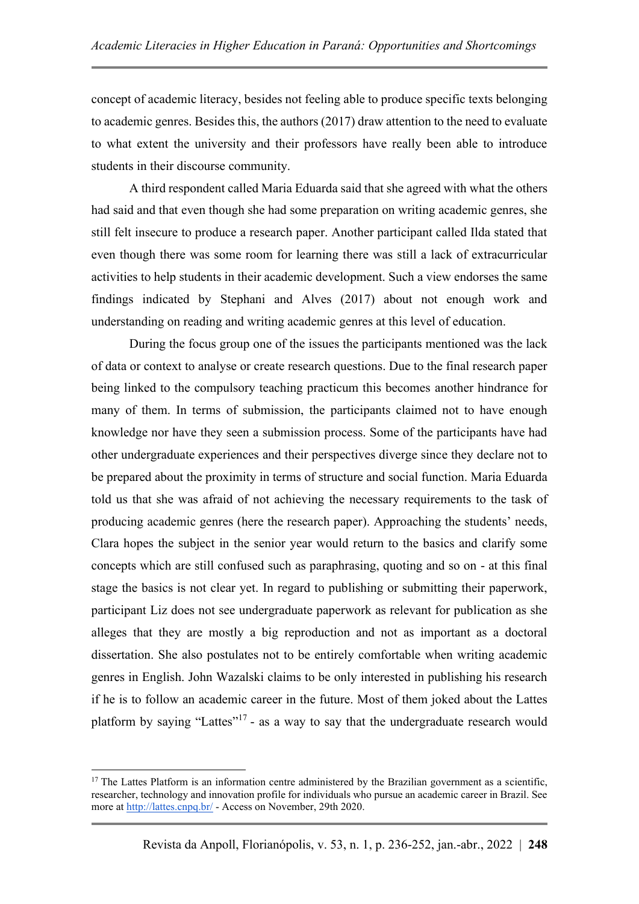concept of academic literacy, besides not feeling able to produce specific texts belonging to academic genres. Besides this, the authors (2017) draw attention to the need to evaluate to what extent the university and their professors have really been able to introduce students in their discourse community.

A third respondent called Maria Eduarda said that she agreed with what the others had said and that even though she had some preparation on writing academic genres, she still felt insecure to produce a research paper. Another participant called Ilda stated that even though there was some room for learning there was still a lack of extracurricular activities to help students in their academic development. Such a view endorses the same findings indicated by Stephani and Alves (2017) about not enough work and understanding on reading and writing academic genres at this level of education.

During the focus group one of the issues the participants mentioned was the lack of data or context to analyse or create research questions. Due to the final research paper being linked to the compulsory teaching practicum this becomes another hindrance for many of them. In terms of submission, the participants claimed not to have enough knowledge nor have they seen a submission process. Some of the participants have had other undergraduate experiences and their perspectives diverge since they declare not to be prepared about the proximity in terms of structure and social function. Maria Eduarda told us that she was afraid of not achieving the necessary requirements to the task of producing academic genres (here the research paper). Approaching the students' needs, Clara hopes the subject in the senior year would return to the basics and clarify some concepts which are still confused such as paraphrasing, quoting and so on - at this final stage the basics is not clear yet. In regard to publishing or submitting their paperwork, participant Liz does not see undergraduate paperwork as relevant for publication as she alleges that they are mostly a big reproduction and not as important as a doctoral dissertation. She also postulates not to be entirely comfortable when writing academic genres in English. John Wazalski claims to be only interested in publishing his research if he is to follow an academic career in the future. Most of them joked about the Lattes platform by saying "Lattes"<sup>17</sup> - as a way to say that the undergraduate research would

 $17$  The Lattes Platform is an information centre administered by the Brazilian government as a scientific, researcher, technology and innovation profile for individuals who pursue an academic career in Brazil. See more at<http://lattes.cnpq.br/> - Access on November, 29th 2020.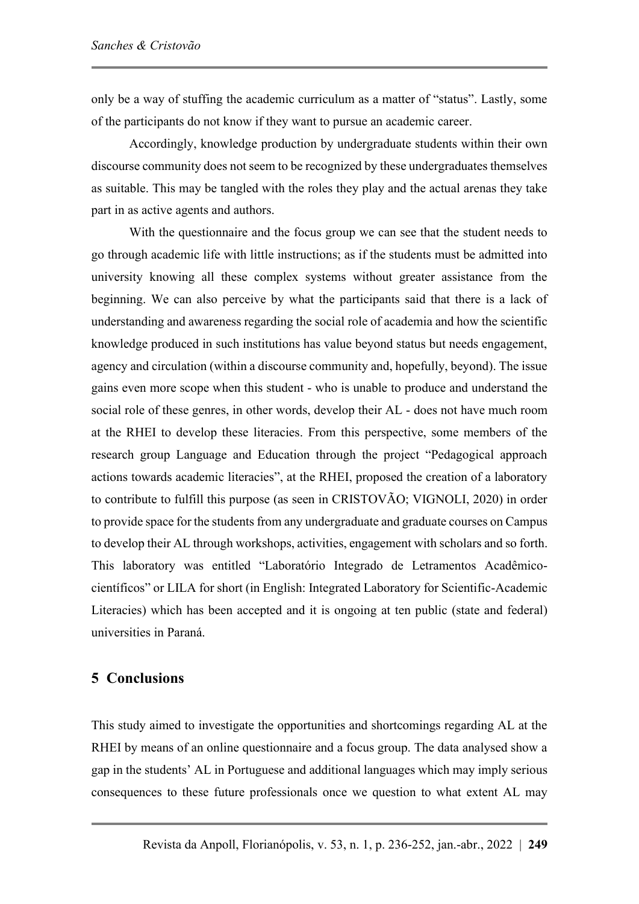only be a way of stuffing the academic curriculum as a matter of "status". Lastly, some of the participants do not know if they want to pursue an academic career.

Accordingly, knowledge production by undergraduate students within their own discourse community does not seem to be recognized by these undergraduates themselves as suitable. This may be tangled with the roles they play and the actual arenas they take part in as active agents and authors.

With the questionnaire and the focus group we can see that the student needs to go through academic life with little instructions; as if the students must be admitted into university knowing all these complex systems without greater assistance from the beginning. We can also perceive by what the participants said that there is a lack of understanding and awareness regarding the social role of academia and how the scientific knowledge produced in such institutions has value beyond status but needs engagement, agency and circulation (within a discourse community and, hopefully, beyond). The issue gains even more scope when this student - who is unable to produce and understand the social role of these genres, in other words, develop their AL - does not have much room at the RHEI to develop these literacies. From this perspective, some members of the research group Language and Education through the project "Pedagogical approach actions towards academic literacies", at the RHEI, proposed the creation of a laboratory to contribute to fulfill this purpose (as seen in CRISTOVÃO; VIGNOLI, 2020) in order to provide space for the students from any undergraduate and graduate courses on Campus to develop their AL through workshops, activities, engagement with scholars and so forth. This laboratory was entitled "Laboratório Integrado de Letramentos Acadêmicocientíficos" or LILA for short (in English: Integrated Laboratory for Scientific-Academic Literacies) which has been accepted and it is ongoing at ten public (state and federal) universities in Paraná.

#### **5 Conclusions**

This study aimed to investigate the opportunities and shortcomings regarding AL at the RHEI by means of an online questionnaire and a focus group. The data analysed show a gap in the students' AL in Portuguese and additional languages which may imply serious consequences to these future professionals once we question to what extent AL may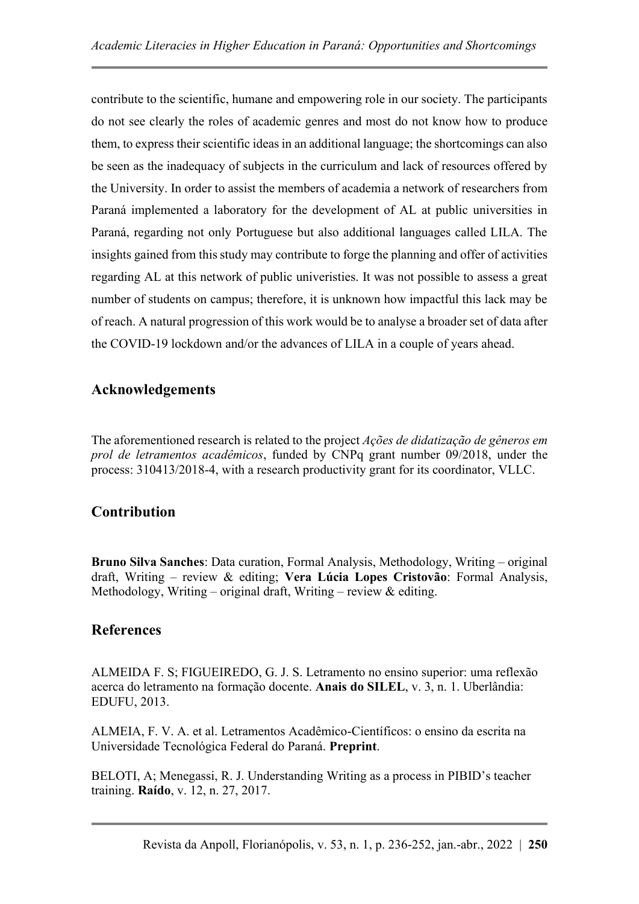contribute to the scientific, humane and empowering role in our society. The participants do not see clearly the roles of academic genres and most do not know how to produce them, to express their scientific ideas in an additional language; the shortcomings can also be seen as the inadequacy of subjects in the curriculum and lack of resources offered by the University. In order to assist the members of academia a network of researchers from Paraná implemented a laboratory for the development of AL at public universities in Paraná, regarding not only Portuguese but also additional languages called LILA. The insights gained from this study may contribute to forge the planning and offer of activities regarding AL at this network of public univeristies. It was not possible to assess a great number of students on campus; therefore, it is unknown how impactful this lack may be of reach. A natural progression of this work would be to analyse a broader set of data after the COVID-19 lockdown and/or the advances of LILA in a couple of years ahead.

## **Acknowledgements**

The aforementioned research is related to the project *Ações de didatização de gêneros em prol de letramentos acadêmicos*, funded by CNPq grant number 09/2018, under the process: 310413/2018-4, with a research productivity grant for its coordinator, VLLC.

## **Contribution**

**Bruno Silva Sanches**: Data curation, Formal Analysis, Methodology, Writing – original draft, Writing – review & editing; **Vera Lúcia Lopes Cristovão**: Formal Analysis, Methodology, Writing – original draft, Writing – review  $\&$  editing.

#### **References**

ALMEIDA F. S; FIGUEIREDO, G. J. S. Letramento no ensino superior: uma reflexão acerca do letramento na formação docente. **Anais do SILEL**, v. 3, n. 1. Uberlândia: EDUFU, 2013.

ALMEIA, F. V. A. et al. Letramentos Acadêmico-Científicos: o ensino da escrita na Universidade Tecnológica Federal do Paraná. **Preprint**.

BELOTI, A; Menegassi, R. J. Understanding Writing as a process in PIBID's teacher training. **Raído**, v. 12, n. 27, 2017.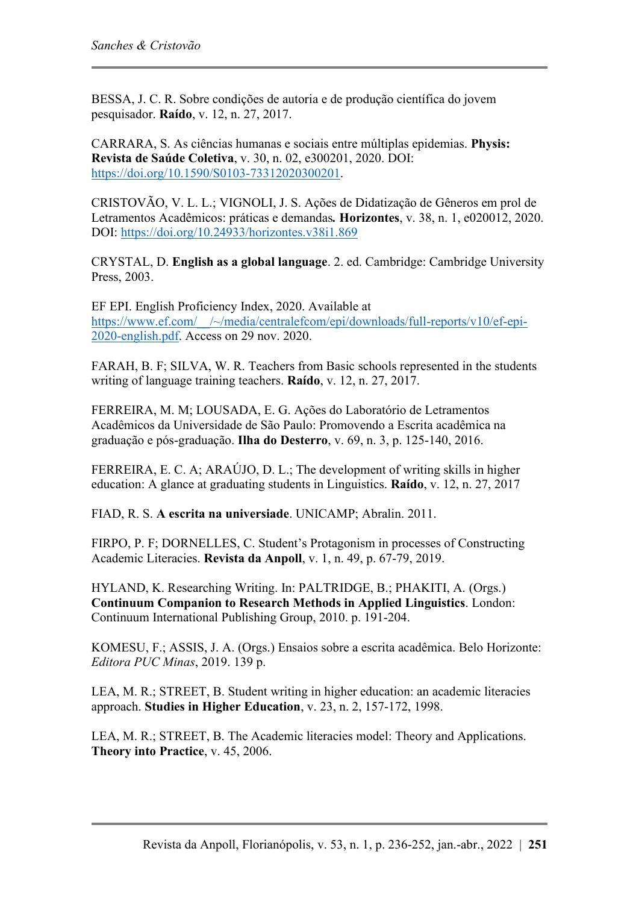BESSA, J. C. R. Sobre condições de autoria e de produção científica do jovem pesquisador. **Raído**, v. 12, n. 27, 2017.

CARRARA, S. As ciências humanas e sociais entre múltiplas epidemias. **Physis: Revista de Saúde Coletiva**, v. 30, n. 02, e300201, 2020. DOI: [https://doi.org/10.1590/S0103-73312020300201.](https://doi.org/10.1590/S0103-73312020300201)

CRISTOVÃO, V. L. L.; VIGNOLI, J. S. Ações de Didatização de Gêneros em prol de Letramentos Acadêmicos: práticas e demandas*.* **Horizontes**, v. 38, n. 1, e020012, 2020. DOI:<https://doi.org/10.24933/horizontes.v38i1.869>

CRYSTAL, D. **English as a global language**. 2. ed. Cambridge: Cambridge University Press, 2003.

EF EPI. English Proficiency Index, 2020. Available at [https://www.ef.com/\\_\\_/~/media/centralefcom/epi/downloads/full-reports/v10/ef-epi-](https://www.ef.com/__/~/media/centralefcom/epi/downloads/full-reports/v10/ef-epi-2020-english.pdf)[2020-english.pdf.](https://www.ef.com/__/~/media/centralefcom/epi/downloads/full-reports/v10/ef-epi-2020-english.pdf) Access on 29 nov. 2020.

FARAH, B. F; SILVA, W. R. Teachers from Basic schools represented in the students writing of language training teachers. **Raído**, v. 12, n. 27, 2017.

FERREIRA, M. M; LOUSADA, E. G. Ações do Laboratório de Letramentos Acadêmicos da Universidade de São Paulo: Promovendo a Escrita acadêmica na graduação e pós-graduação. **Ilha do Desterro**, v. 69, n. 3, p. 125-140, 2016.

FERREIRA, E. C. A; ARAÚJO, D. L.; The development of writing skills in higher education: A glance at graduating students in Linguistics. **Raído**, v. 12, n. 27, 2017

FIAD, R. S. **A escrita na universiade**. UNICAMP; Abralin. 2011.

FIRPO, P. F; DORNELLES, C. Student's Protagonism in processes of Constructing Academic Literacies. **Revista da Anpoll**, v. 1, n. 49, p. 67-79, 2019.

HYLAND, K. Researching Writing. In: PALTRIDGE, B.; PHAKITI, A. (Orgs.) **Continuum Companion to Research Methods in Applied Linguistics**. London: Continuum International Publishing Group, 2010. p. 191-204.

KOMESU, F.; ASSIS, J. A. (Orgs.) Ensaios sobre a escrita acadêmica. Belo Horizonte: *Editora PUC Minas*, 2019. 139 p.

LEA, M. R.; STREET, B. Student writing in higher education: an academic literacies approach. **Studies in Higher Education**, v. 23, n. 2, 157-172, 1998.

LEA, M. R.; STREET, B. The Academic literacies model: Theory and Applications. **Theory into Practice**, v. 45, 2006.